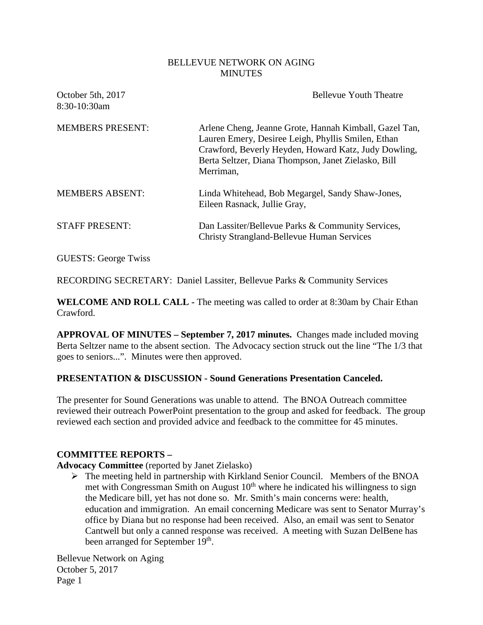#### BELLEVUE NETWORK ON AGING MINUTES

| October 5th, 2017<br>8:30-10:30am | <b>Bellevue Youth Theatre</b>                                                                                                                                                                                                            |
|-----------------------------------|------------------------------------------------------------------------------------------------------------------------------------------------------------------------------------------------------------------------------------------|
| <b>MEMBERS PRESENT:</b>           | Arlene Cheng, Jeanne Grote, Hannah Kimball, Gazel Tan,<br>Lauren Emery, Desiree Leigh, Phyllis Smilen, Ethan<br>Crawford, Beverly Heyden, Howard Katz, Judy Dowling,<br>Berta Seltzer, Diana Thompson, Janet Zielasko, Bill<br>Merriman, |
| <b>MEMBERS ABSENT:</b>            | Linda Whitehead, Bob Megargel, Sandy Shaw-Jones,<br>Eileen Rasnack, Jullie Gray,                                                                                                                                                         |
| <b>STAFF PRESENT:</b>             | Dan Lassiter/Bellevue Parks & Community Services,<br>Christy Strangland-Bellevue Human Services                                                                                                                                          |

GUESTS: George Twiss

RECORDING SECRETARY: Daniel Lassiter, Bellevue Parks & Community Services

**WELCOME AND ROLL CALL -** The meeting was called to order at 8:30am by Chair Ethan Crawford.

**APPROVAL OF MINUTES – September 7, 2017 minutes.** Changes made included moving Berta Seltzer name to the absent section. The Advocacy section struck out the line "The 1/3 that goes to seniors...". Minutes were then approved.

### **PRESENTATION & DISCUSSION - Sound Generations Presentation Canceled.**

The presenter for Sound Generations was unable to attend. The BNOA Outreach committee reviewed their outreach PowerPoint presentation to the group and asked for feedback. The group reviewed each section and provided advice and feedback to the committee for 45 minutes.

### **COMMITTEE REPORTS –**

**Advocacy Committee** (reported by Janet Zielasko)

 $\triangleright$  The meeting held in partnership with Kirkland Senior Council. Members of the BNOA met with Congressman Smith on August  $10<sup>th</sup>$  where he indicated his willingness to sign the Medicare bill, yet has not done so. Mr. Smith's main concerns were: health, education and immigration. An email concerning Medicare was sent to Senator Murray's office by Diana but no response had been received. Also, an email was sent to Senator Cantwell but only a canned response was received. A meeting with Suzan DelBene has been arranged for September 19<sup>th</sup>.

Bellevue Network on Aging October 5, 2017 Page 1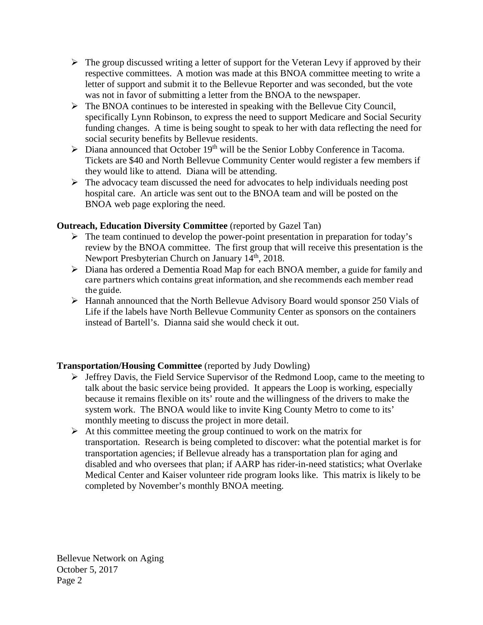- $\triangleright$  The group discussed writing a letter of support for the Veteran Levy if approved by their respective committees. A motion was made at this BNOA committee meeting to write a letter of support and submit it to the Bellevue Reporter and was seconded, but the vote was not in favor of submitting a letter from the BNOA to the newspaper.
- $\triangleright$  The BNOA continues to be interested in speaking with the Bellevue City Council, specifically Lynn Robinson, to express the need to support Medicare and Social Security funding changes. A time is being sought to speak to her with data reflecting the need for social security benefits by Bellevue residents.
- $\triangleright$  Diana announced that October 19<sup>th</sup> will be the Senior Lobby Conference in Tacoma. Tickets are \$40 and North Bellevue Community Center would register a few members if they would like to attend. Diana will be attending.
- $\triangleright$  The advocacy team discussed the need for advocates to help individuals needing post hospital care. An article was sent out to the BNOA team and will be posted on the BNOA web page exploring the need.

## **Outreach, Education Diversity Committee** (reported by Gazel Tan)

- $\triangleright$  The team continued to develop the power-point presentation in preparation for today's review by the BNOA committee. The first group that will receive this presentation is the Newport Presbyterian Church on January 14<sup>th</sup>, 2018.
- Diana has ordered a Dementia Road Map for each BNOA member, a guide for family and care partners which contains great information, and she recommends each member read the guide.
- Hannah announced that the North Bellevue Advisory Board would sponsor 250 Vials of Life if the labels have North Bellevue Community Center as sponsors on the containers instead of Bartell's. Dianna said she would check it out.

# **Transportation/Housing Committee** (reported by Judy Dowling)

- $\triangleright$  Jeffrey Davis, the Field Service Supervisor of the Redmond Loop, came to the meeting to talk about the basic service being provided. It appears the Loop is working, especially because it remains flexible on its' route and the willingness of the drivers to make the system work. The BNOA would like to invite King County Metro to come to its' monthly meeting to discuss the project in more detail.
- $\triangleright$  At this committee meeting the group continued to work on the matrix for transportation. Research is being completed to discover: what the potential market is for transportation agencies; if Bellevue already has a transportation plan for aging and disabled and who oversees that plan; if AARP has rider-in-need statistics; what Overlake Medical Center and Kaiser volunteer ride program looks like. This matrix is likely to be completed by November's monthly BNOA meeting.

Bellevue Network on Aging October 5, 2017 Page 2